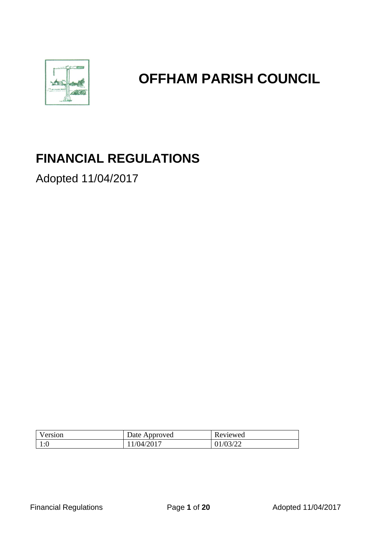

# **OFFHAM PARISH COUNCIL**

## **FINANCIAL REGULATIONS**

Adopted 11/04/2017

| Version    | Date Approved | Reviewed |
|------------|---------------|----------|
| 1∙∩<br>1.U | 1/04/2017     | 01/03/22 |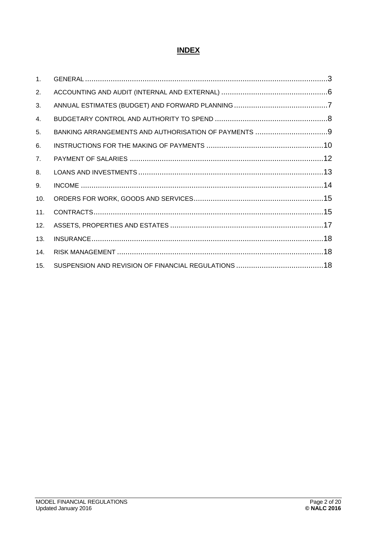## **INDEX**

| 1.  |  |
|-----|--|
| 2.  |  |
| 3.  |  |
| 4.  |  |
| 5.  |  |
| 6.  |  |
| 7.  |  |
| 8.  |  |
| 9.  |  |
| 10. |  |
| 11. |  |
| 12. |  |
| 13. |  |
| 14. |  |
| 15. |  |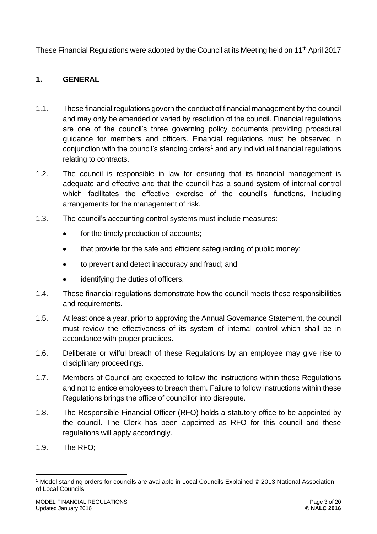These Financial Regulations were adopted by the Council at its Meeting held on 11<sup>th</sup> April 2017

## <span id="page-2-0"></span>**1. GENERAL**

- 1.1. These financial regulations govern the conduct of financial management by the council and may only be amended or varied by resolution of the council. Financial regulations are one of the council's three governing policy documents providing procedural guidance for members and officers. Financial regulations must be observed in conjunction with the council's standing orders<sup>1</sup> and any individual financial regulations relating to contracts.
- 1.2. The council is responsible in law for ensuring that its financial management is adequate and effective and that the council has a sound system of internal control which facilitates the effective exercise of the council's functions, including arrangements for the management of risk.
- 1.3. The council's accounting control systems must include measures:
	- for the timely production of accounts;
	- that provide for the safe and efficient safeguarding of public money;
	- to prevent and detect inaccuracy and fraud; and
	- identifying the duties of officers.
- 1.4. These financial regulations demonstrate how the council meets these responsibilities and requirements.
- 1.5. At least once a year, prior to approving the Annual Governance Statement, the council must review the effectiveness of its system of internal control which shall be in accordance with proper practices.
- 1.6. Deliberate or wilful breach of these Regulations by an employee may give rise to disciplinary proceedings.
- 1.7. Members of Council are expected to follow the instructions within these Regulations and not to entice employees to breach them. Failure to follow instructions within these Regulations brings the office of councillor into disrepute.
- 1.8. The Responsible Financial Officer (RFO) holds a statutory office to be appointed by the council. The Clerk has been appointed as RFO for this council and these regulations will apply accordingly.
- 1.9. The RFO;

<sup>1</sup> Model standing orders for councils are available in Local Councils Explained © 2013 National Association of Local Councils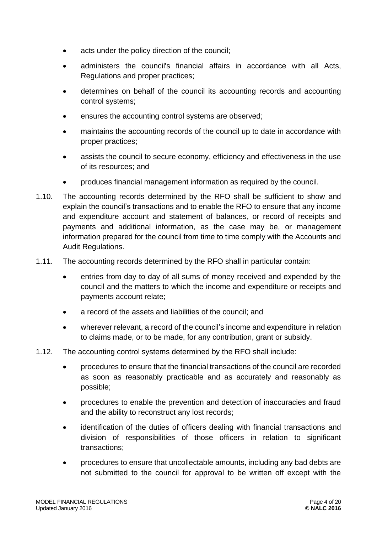- acts under the policy direction of the council;
- administers the council's financial affairs in accordance with all Acts, Regulations and proper practices;
- determines on behalf of the council its accounting records and accounting control systems;
- ensures the accounting control systems are observed;
- maintains the accounting records of the council up to date in accordance with proper practices;
- assists the council to secure economy, efficiency and effectiveness in the use of its resources; and
- produces financial management information as required by the council.
- 1.10. The accounting records determined by the RFO shall be sufficient to show and explain the council's transactions and to enable the RFO to ensure that any income and expenditure account and statement of balances, or record of receipts and payments and additional information, as the case may be, or management information prepared for the council from time to time comply with the Accounts and Audit Regulations.
- 1.11. The accounting records determined by the RFO shall in particular contain:
	- entries from day to day of all sums of money received and expended by the council and the matters to which the income and expenditure or receipts and payments account relate;
	- a record of the assets and liabilities of the council; and
	- wherever relevant, a record of the council's income and expenditure in relation to claims made, or to be made, for any contribution, grant or subsidy.
- 1.12. The accounting control systems determined by the RFO shall include:
	- procedures to ensure that the financial transactions of the council are recorded as soon as reasonably practicable and as accurately and reasonably as possible;
	- procedures to enable the prevention and detection of inaccuracies and fraud and the ability to reconstruct any lost records;
	- identification of the duties of officers dealing with financial transactions and division of responsibilities of those officers in relation to significant transactions;
	- procedures to ensure that uncollectable amounts, including any bad debts are not submitted to the council for approval to be written off except with the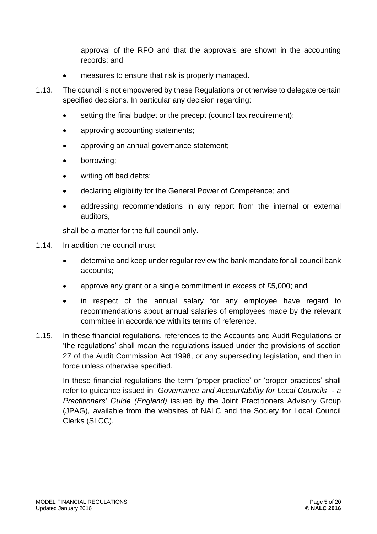approval of the RFO and that the approvals are shown in the accounting records; and

- measures to ensure that risk is properly managed.
- 1.13. The council is not empowered by these Regulations or otherwise to delegate certain specified decisions. In particular any decision regarding:
	- setting the final budget or the precept (council tax requirement);
	- approving accounting statements;
	- approving an annual governance statement;
	- borrowing;
	- writing off bad debts:
	- declaring eligibility for the General Power of Competence; and
	- addressing recommendations in any report from the internal or external auditors,

shall be a matter for the full council only.

- 1.14. In addition the council must:
	- determine and keep under regular review the bank mandate for all council bank accounts;
	- approve any grant or a single commitment in excess of £5,000; and
	- in respect of the annual salary for any employee have regard to recommendations about annual salaries of employees made by the relevant committee in accordance with its terms of reference.
- 1.15. In these financial regulations, references to the Accounts and Audit Regulations or 'the regulations' shall mean the regulations issued under the provisions of section 27 of the Audit Commission Act 1998, or any superseding legislation, and then in force unless otherwise specified.

<span id="page-4-0"></span>In these financial regulations the term 'proper practice' or 'proper practices' shall refer to guidance issued in *Governance and Accountability for Local Councils - a Practitioners' Guide (England)* issued by the Joint Practitioners Advisory Group (JPAG), available from the websites of NALC and the Society for Local Council Clerks (SLCC).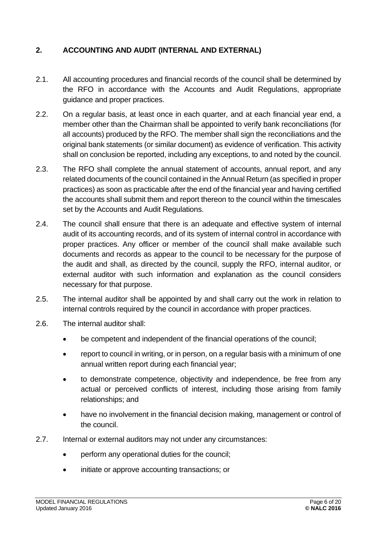#### **2. ACCOUNTING AND AUDIT (INTERNAL AND EXTERNAL)**

- 2.1. All accounting procedures and financial records of the council shall be determined by the RFO in accordance with the Accounts and Audit Regulations, appropriate guidance and proper practices.
- 2.2. On a regular basis, at least once in each quarter, and at each financial year end, a member other than the Chairman shall be appointed to verify bank reconciliations (for all accounts) produced by the RFO. The member shall sign the reconciliations and the original bank statements (or similar document) as evidence of verification. This activity shall on conclusion be reported, including any exceptions, to and noted by the council.
- 2.3. The RFO shall complete the annual statement of accounts, annual report, and any related documents of the council contained in the Annual Return (as specified in proper practices) as soon as practicable after the end of the financial year and having certified the accounts shall submit them and report thereon to the council within the timescales set by the Accounts and Audit Regulations.
- 2.4. The council shall ensure that there is an adequate and effective system of internal audit of its accounting records, and of its system of internal control in accordance with proper practices. Any officer or member of the council shall make available such documents and records as appear to the council to be necessary for the purpose of the audit and shall, as directed by the council, supply the RFO, internal auditor, or external auditor with such information and explanation as the council considers necessary for that purpose.
- 2.5. The internal auditor shall be appointed by and shall carry out the work in relation to internal controls required by the council in accordance with proper practices.
- 2.6. The internal auditor shall:
	- be competent and independent of the financial operations of the council:
	- report to council in writing, or in person, on a regular basis with a minimum of one annual written report during each financial year;
	- to demonstrate competence, objectivity and independence, be free from any actual or perceived conflicts of interest, including those arising from family relationships; and
	- have no involvement in the financial decision making, management or control of the council.
- 2.7. Internal or external auditors may not under any circumstances:
	- perform any operational duties for the council;
	- initiate or approve accounting transactions; or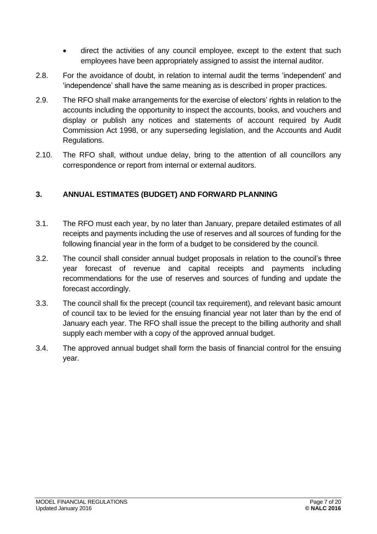- direct the activities of any council employee, except to the extent that such employees have been appropriately assigned to assist the internal auditor.
- 2.8. For the avoidance of doubt, in relation to internal audit the terms 'independent' and 'independence' shall have the same meaning as is described in proper practices.
- 2.9. The RFO shall make arrangements for the exercise of electors' rights in relation to the accounts including the opportunity to inspect the accounts, books, and vouchers and display or publish any notices and statements of account required by Audit Commission Act 1998, or any superseding legislation, and the Accounts and Audit Regulations.
- 2.10. The RFO shall, without undue delay, bring to the attention of all councillors any correspondence or report from internal or external auditors.

#### <span id="page-6-0"></span>**3. ANNUAL ESTIMATES (BUDGET) AND FORWARD PLANNING**

- 3.1. The RFO must each year, by no later than January, prepare detailed estimates of all receipts and payments including the use of reserves and all sources of funding for the following financial year in the form of a budget to be considered by the council.
- 3.2. The council shall consider annual budget proposals in relation to the council's three year forecast of revenue and capital receipts and payments including recommendations for the use of reserves and sources of funding and update the forecast accordingly.
- 3.3. The council shall fix the precept (council tax requirement), and relevant basic amount of council tax to be levied for the ensuing financial year not later than by the end of January each year. The RFO shall issue the precept to the billing authority and shall supply each member with a copy of the approved annual budget.
- <span id="page-6-1"></span>3.4. The approved annual budget shall form the basis of financial control for the ensuing year.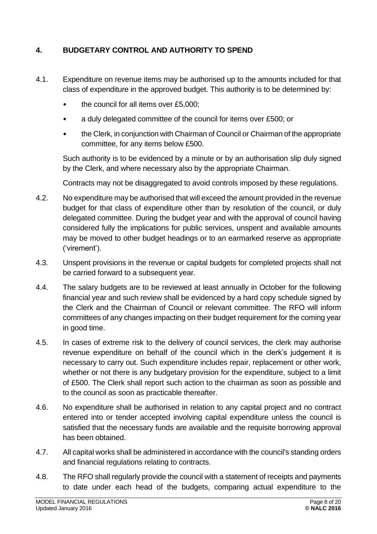#### **4. BUDGETARY CONTROL AND AUTHORITY TO SPEND**

- 4.1. Expenditure on revenue items may be authorised up to the amounts included for that class of expenditure in the approved budget. This authority is to be determined by:
	- the council for all items over £5,000;
	- a duly delegated committee of the council for items over £500; or
	- the Clerk, in conjunction with Chairman of Council or Chairman of the appropriate committee, for any items below £500.

Such authority is to be evidenced by a minute or by an authorisation slip duly signed by the Clerk, and where necessary also by the appropriate Chairman.

Contracts may not be disaggregated to avoid controls imposed by these regulations.

- 4.2. No expenditure may be authorised that will exceed the amount provided in the revenue budget for that class of expenditure other than by resolution of the council, or duly delegated committee. During the budget year and with the approval of council having considered fully the implications for public services, unspent and available amounts may be moved to other budget headings or to an earmarked reserve as appropriate ('virement').
- 4.3. Unspent provisions in the revenue or capital budgets for completed projects shall not be carried forward to a subsequent year.
- 4.4. The salary budgets are to be reviewed at least annually in October for the following financial year and such review shall be evidenced by a hard copy schedule signed by the Clerk and the Chairman of Council or relevant committee. The RFO will inform committees of any changes impacting on their budget requirement for the coming year in good time.
- 4.5. In cases of extreme risk to the delivery of council services, the clerk may authorise revenue expenditure on behalf of the council which in the clerk's judgement it is necessary to carry out. Such expenditure includes repair, replacement or other work, whether or not there is any budgetary provision for the expenditure, subject to a limit of £500. The Clerk shall report such action to the chairman as soon as possible and to the council as soon as practicable thereafter.
- 4.6. No expenditure shall be authorised in relation to any capital project and no contract entered into or tender accepted involving capital expenditure unless the council is satisfied that the necessary funds are available and the requisite borrowing approval has been obtained.
- 4.7. All capital works shall be administered in accordance with the council's standing orders and financial regulations relating to contracts.
- 4.8. The RFO shall regularly provide the council with a statement of receipts and payments to date under each head of the budgets, comparing actual expenditure to the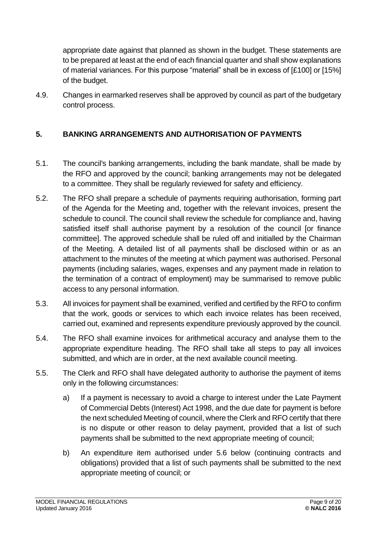appropriate date against that planned as shown in the budget. These statements are to be prepared at least at the end of each financial quarter and shall show explanations of material variances. For this purpose "material" shall be in excess of [£100] or [15%] of the budget.

4.9. Changes in earmarked reserves shall be approved by council as part of the budgetary control process.

## <span id="page-8-0"></span>**5. BANKING ARRANGEMENTS AND AUTHORISATION OF PAYMENTS**

- 5.1. The council's banking arrangements, including the bank mandate, shall be made by the RFO and approved by the council; banking arrangements may not be delegated to a committee. They shall be regularly reviewed for safety and efficiency.
- 5.2. The RFO shall prepare a schedule of payments requiring authorisation, forming part of the Agenda for the Meeting and, together with the relevant invoices, present the schedule to council. The council shall review the schedule for compliance and, having satisfied itself shall authorise payment by a resolution of the council [or finance committee]. The approved schedule shall be ruled off and initialled by the Chairman of the Meeting. A detailed list of all payments shall be disclosed within or as an attachment to the minutes of the meeting at which payment was authorised. Personal payments (including salaries, wages, expenses and any payment made in relation to the termination of a contract of employment) may be summarised to remove public access to any personal information.
- 5.3. All invoices for payment shall be examined, verified and certified by the RFO to confirm that the work, goods or services to which each invoice relates has been received, carried out, examined and represents expenditure previously approved by the council.
- 5.4. The RFO shall examine invoices for arithmetical accuracy and analyse them to the appropriate expenditure heading. The RFO shall take all steps to pay all invoices submitted, and which are in order, at the next available council meeting.
- 5.5. The Clerk and RFO shall have delegated authority to authorise the payment of items only in the following circumstances:
	- a) If a payment is necessary to avoid a charge to interest under the Late Payment of Commercial Debts (Interest) Act 1998, and the due date for payment is before the next scheduled Meeting of council, where the Clerk and RFO certify that there is no dispute or other reason to delay payment, provided that a list of such payments shall be submitted to the next appropriate meeting of council;
	- b) An expenditure item authorised under 5.6 below (continuing contracts and obligations) provided that a list of such payments shall be submitted to the next appropriate meeting of council; or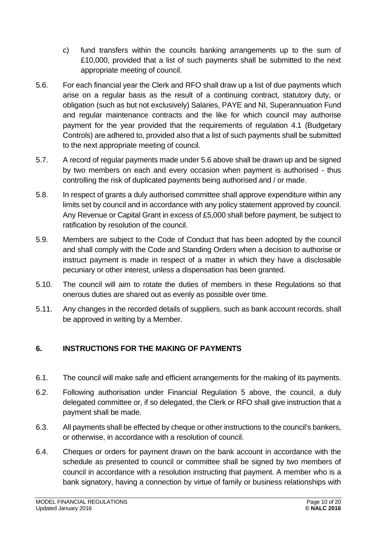- c) fund transfers within the councils banking arrangements up to the sum of £10,000, provided that a list of such payments shall be submitted to the next appropriate meeting of council.
- 5.6. For each financial year the Clerk and RFO shall draw up a list of due payments which arise on a regular basis as the result of a continuing contract, statutory duty, or obligation (such as but not exclusively) Salaries, PAYE and NI, Superannuation Fund and regular maintenance contracts and the like for which council may authorise payment for the year provided that the requirements of regulation 4.1 (Budgetary Controls) are adhered to, provided also that a list of such payments shall be submitted to the next appropriate meeting of council.
- 5.7. A record of regular payments made under 5.6 above shall be drawn up and be signed by two members on each and every occasion when payment is authorised - thus controlling the risk of duplicated payments being authorised and / or made.
- 5.8. In respect of grants a duly authorised committee shall approve expenditure within any limits set by council and in accordance with any policy statement approved by council. Any Revenue or Capital Grant in excess of £5,000 shall before payment, be subject to ratification by resolution of the council.
- 5.9. Members are subject to the Code of Conduct that has been adopted by the council and shall comply with the Code and Standing Orders when a decision to authorise or instruct payment is made in respect of a matter in which they have a disclosable pecuniary or other interest, unless a dispensation has been granted.
- 5.10. The council will aim to rotate the duties of members in these Regulations so that onerous duties are shared out as evenly as possible over time.
- 5.11. Any changes in the recorded details of suppliers, such as bank account records, shall be approved in writing by a Member.

## <span id="page-9-0"></span>**6. INSTRUCTIONS FOR THE MAKING OF PAYMENTS**

- 6.1. The council will make safe and efficient arrangements for the making of its payments.
- 6.2. Following authorisation under Financial Regulation 5 above, the council, a duly delegated committee or, if so delegated, the Clerk or RFO shall give instruction that a payment shall be made.
- 6.3. All payments shall be effected by cheque or other instructions to the council's bankers, or otherwise, in accordance with a resolution of council.
- 6.4. Cheques or orders for payment drawn on the bank account in accordance with the schedule as presented to council or committee shall be signed by two members of council in accordance with a resolution instructing that payment. A member who is a bank signatory, having a connection by virtue of family or business relationships with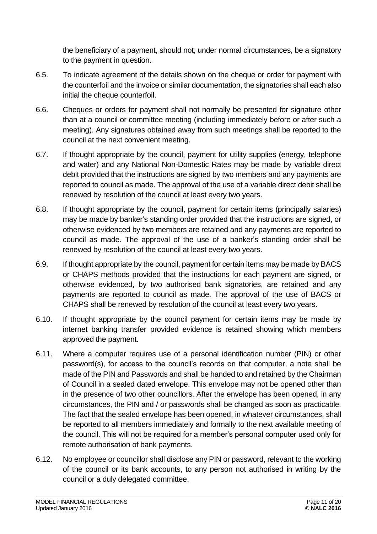the beneficiary of a payment, should not, under normal circumstances, be a signatory to the payment in question.

- 6.5. To indicate agreement of the details shown on the cheque or order for payment with the counterfoil and the invoice or similar documentation, the signatories shall each also initial the cheque counterfoil.
- 6.6. Cheques or orders for payment shall not normally be presented for signature other than at a council or committee meeting (including immediately before or after such a meeting). Any signatures obtained away from such meetings shall be reported to the council at the next convenient meeting.
- 6.7. If thought appropriate by the council, payment for utility supplies (energy, telephone and water) and any National Non-Domestic Rates may be made by variable direct debit provided that the instructions are signed by two members and any payments are reported to council as made. The approval of the use of a variable direct debit shall be renewed by resolution of the council at least every two years.
- 6.8. If thought appropriate by the council, payment for certain items (principally salaries) may be made by banker's standing order provided that the instructions are signed, or otherwise evidenced by two members are retained and any payments are reported to council as made. The approval of the use of a banker's standing order shall be renewed by resolution of the council at least every two years.
- 6.9. If thought appropriate by the council, payment for certain items may be made by BACS or CHAPS methods provided that the instructions for each payment are signed, or otherwise evidenced, by two authorised bank signatories, are retained and any payments are reported to council as made. The approval of the use of BACS or CHAPS shall be renewed by resolution of the council at least every two years.
- 6.10. If thought appropriate by the council payment for certain items may be made by internet banking transfer provided evidence is retained showing which members approved the payment.
- 6.11. Where a computer requires use of a personal identification number (PIN) or other password(s), for access to the council's records on that computer, a note shall be made of the PIN and Passwords and shall be handed to and retained by the Chairman of Council in a sealed dated envelope. This envelope may not be opened other than in the presence of two other councillors. After the envelope has been opened, in any circumstances, the PIN and / or passwords shall be changed as soon as practicable. The fact that the sealed envelope has been opened, in whatever circumstances, shall be reported to all members immediately and formally to the next available meeting of the council. This will not be required for a member's personal computer used only for remote authorisation of bank payments.
- 6.12. No employee or councillor shall disclose any PIN or password, relevant to the working of the council or its bank accounts, to any person not authorised in writing by the council or a duly delegated committee.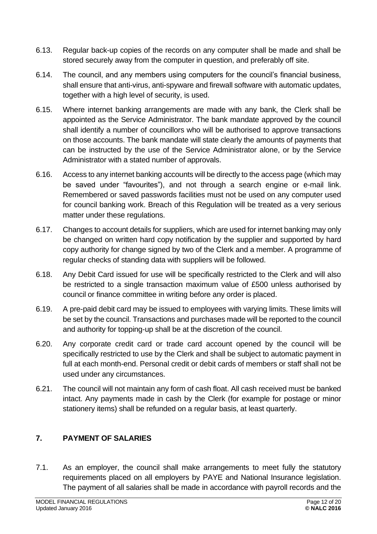- 6.13. Regular back-up copies of the records on any computer shall be made and shall be stored securely away from the computer in question, and preferably off site.
- 6.14. The council, and any members using computers for the council's financial business, shall ensure that anti-virus, anti-spyware and firewall software with automatic updates, together with a high level of security, is used.
- 6.15. Where internet banking arrangements are made with any bank, the Clerk shall be appointed as the Service Administrator. The bank mandate approved by the council shall identify a number of councillors who will be authorised to approve transactions on those accounts. The bank mandate will state clearly the amounts of payments that can be instructed by the use of the Service Administrator alone, or by the Service Administrator with a stated number of approvals.
- 6.16. Access to any internet banking accounts will be directly to the access page (which may be saved under "favourites"), and not through a search engine or e-mail link. Remembered or saved passwords facilities must not be used on any computer used for council banking work. Breach of this Regulation will be treated as a very serious matter under these regulations.
- 6.17. Changes to account details for suppliers, which are used for internet banking may only be changed on written hard copy notification by the supplier and supported by hard copy authority for change signed by two of the Clerk and a member. A programme of regular checks of standing data with suppliers will be followed.
- 6.18. Any Debit Card issued for use will be specifically restricted to the Clerk and will also be restricted to a single transaction maximum value of £500 unless authorised by council or finance committee in writing before any order is placed.
- 6.19. A pre-paid debit card may be issued to employees with varying limits. These limits will be set by the council. Transactions and purchases made will be reported to the council and authority for topping-up shall be at the discretion of the council.
- 6.20. Any corporate credit card or trade card account opened by the council will be specifically restricted to use by the Clerk and shall be subject to automatic payment in full at each month-end. Personal credit or debit cards of members or staff shall not be used under any circumstances.
- 6.21. The council will not maintain any form of cash float. All cash received must be banked intact. Any payments made in cash by the Clerk (for example for postage or minor stationery items) shall be refunded on a regular basis, at least quarterly.

## <span id="page-11-0"></span>**7. PAYMENT OF SALARIES**

7.1. As an employer, the council shall make arrangements to meet fully the statutory requirements placed on all employers by PAYE and National Insurance legislation. The payment of all salaries shall be made in accordance with payroll records and the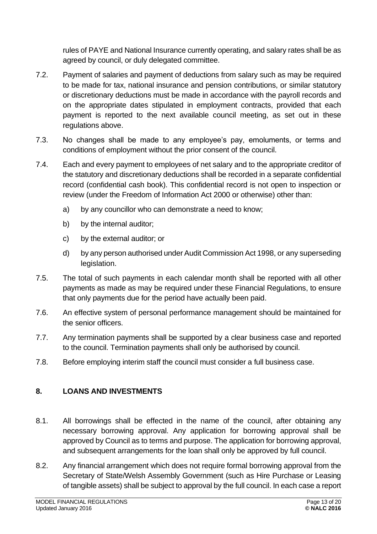rules of PAYE and National Insurance currently operating, and salary rates shall be as agreed by council, or duly delegated committee.

- 7.2. Payment of salaries and payment of deductions from salary such as may be required to be made for tax, national insurance and pension contributions, or similar statutory or discretionary deductions must be made in accordance with the payroll records and on the appropriate dates stipulated in employment contracts, provided that each payment is reported to the next available council meeting, as set out in these regulations above.
- 7.3. No changes shall be made to any employee's pay, emoluments, or terms and conditions of employment without the prior consent of the council.
- 7.4. Each and every payment to employees of net salary and to the appropriate creditor of the statutory and discretionary deductions shall be recorded in a separate confidential record (confidential cash book). This confidential record is not open to inspection or review (under the Freedom of Information Act 2000 or otherwise) other than:
	- a) by any councillor who can demonstrate a need to know;
	- b) by the internal auditor;
	- c) by the external auditor; or
	- d) by any person authorised under Audit Commission Act 1998, or any superseding legislation.
- 7.5. The total of such payments in each calendar month shall be reported with all other payments as made as may be required under these Financial Regulations, to ensure that only payments due for the period have actually been paid.
- 7.6. An effective system of personal performance management should be maintained for the senior officers.
- 7.7. Any termination payments shall be supported by a clear business case and reported to the council. Termination payments shall only be authorised by council.
- 7.8. Before employing interim staff the council must consider a full business case.

#### <span id="page-12-0"></span>**8. LOANS AND INVESTMENTS**

- 8.1. All borrowings shall be effected in the name of the council, after obtaining any necessary borrowing approval. Any application for borrowing approval shall be approved by Council as to terms and purpose. The application for borrowing approval, and subsequent arrangements for the loan shall only be approved by full council.
- 8.2. Any financial arrangement which does not require formal borrowing approval from the Secretary of State/Welsh Assembly Government (such as Hire Purchase or Leasing of tangible assets) shall be subject to approval by the full council. In each case a report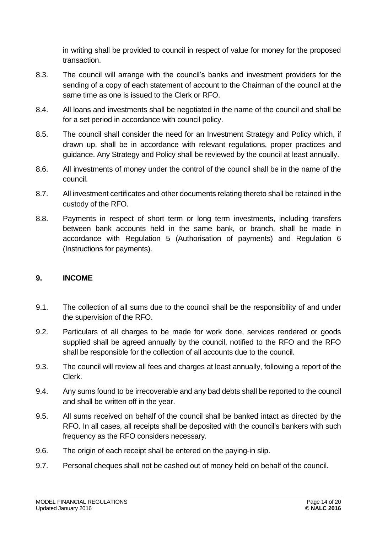in writing shall be provided to council in respect of value for money for the proposed transaction.

- 8.3. The council will arrange with the council's banks and investment providers for the sending of a copy of each statement of account to the Chairman of the council at the same time as one is issued to the Clerk or RFO.
- 8.4. All loans and investments shall be negotiated in the name of the council and shall be for a set period in accordance with council policy.
- 8.5. The council shall consider the need for an Investment Strategy and Policy which, if drawn up, shall be in accordance with relevant regulations, proper practices and guidance. Any Strategy and Policy shall be reviewed by the council at least annually.
- 8.6. All investments of money under the control of the council shall be in the name of the council.
- 8.7. All investment certificates and other documents relating thereto shall be retained in the custody of the RFO.
- 8.8. Payments in respect of short term or long term investments, including transfers between bank accounts held in the same bank, or branch, shall be made in accordance with Regulation 5 (Authorisation of payments) and Regulation 6 (Instructions for payments).

#### <span id="page-13-0"></span>**9. INCOME**

- 9.1. The collection of all sums due to the council shall be the responsibility of and under the supervision of the RFO.
- 9.2. Particulars of all charges to be made for work done, services rendered or goods supplied shall be agreed annually by the council, notified to the RFO and the RFO shall be responsible for the collection of all accounts due to the council.
- 9.3. The council will review all fees and charges at least annually, following a report of the Clerk.
- 9.4. Any sums found to be irrecoverable and any bad debts shall be reported to the council and shall be written off in the year.
- 9.5. All sums received on behalf of the council shall be banked intact as directed by the RFO. In all cases, all receipts shall be deposited with the council's bankers with such frequency as the RFO considers necessary.
- 9.6. The origin of each receipt shall be entered on the paying-in slip.
- 9.7. Personal cheques shall not be cashed out of money held on behalf of the council.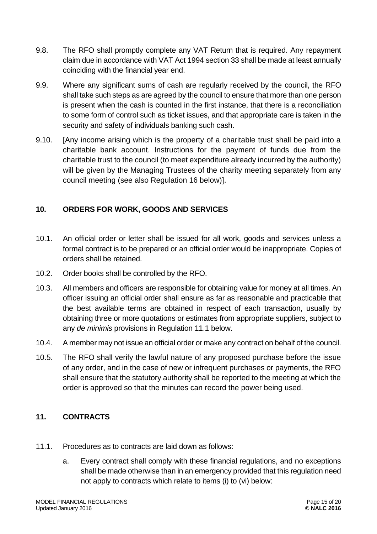- 9.8. The RFO shall promptly complete any VAT Return that is required. Any repayment claim due in accordance with VAT Act 1994 section 33 shall be made at least annually coinciding with the financial year end.
- 9.9. Where any significant sums of cash are regularly received by the council, the RFO shall take such steps as are agreed by the council to ensure that more than one person is present when the cash is counted in the first instance, that there is a reconciliation to some form of control such as ticket issues, and that appropriate care is taken in the security and safety of individuals banking such cash.
- 9.10. [Any income arising which is the property of a charitable trust shall be paid into a charitable bank account. Instructions for the payment of funds due from the charitable trust to the council (to meet expenditure already incurred by the authority) will be given by the Managing Trustees of the charity meeting separately from any council meeting (see also Regulation 16 below)].

#### <span id="page-14-0"></span>**10. ORDERS FOR WORK, GOODS AND SERVICES**

- 10.1. An official order or letter shall be issued for all work, goods and services unless a formal contract is to be prepared or an official order would be inappropriate. Copies of orders shall be retained.
- 10.2. Order books shall be controlled by the RFO.
- 10.3. All members and officers are responsible for obtaining value for money at all times. An officer issuing an official order shall ensure as far as reasonable and practicable that the best available terms are obtained in respect of each transaction, usually by obtaining three or more quotations or estimates from appropriate suppliers, subject to any *de minimis* provisions in Regulation 11.1 below.
- 10.4. A member may not issue an official order or make any contract on behalf of the council.
- 10.5. The RFO shall verify the lawful nature of any proposed purchase before the issue of any order, and in the case of new or infrequent purchases or payments, the RFO shall ensure that the statutory authority shall be reported to the meeting at which the order is approved so that the minutes can record the power being used.

## <span id="page-14-1"></span>**11. CONTRACTS**

- 11.1. Procedures as to contracts are laid down as follows:
	- a. Every contract shall comply with these financial regulations, and no exceptions shall be made otherwise than in an emergency provided that this regulation need not apply to contracts which relate to items (i) to (vi) below: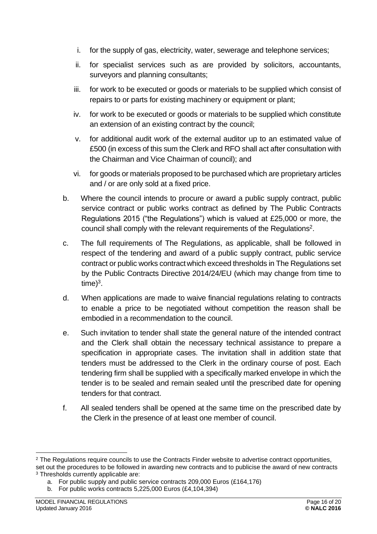- i. for the supply of gas, electricity, water, sewerage and telephone services;
- ii. for specialist services such as are provided by solicitors, accountants, surveyors and planning consultants;
- iii. for work to be executed or goods or materials to be supplied which consist of repairs to or parts for existing machinery or equipment or plant;
- iv. for work to be executed or goods or materials to be supplied which constitute an extension of an existing contract by the council;
- v. for additional audit work of the external auditor up to an estimated value of £500 (in excess of this sum the Clerk and RFO shall act after consultation with the Chairman and Vice Chairman of council); and
- vi. for goods or materials proposed to be purchased which are proprietary articles and / or are only sold at a fixed price.
- b. Where the council intends to procure or award a public supply contract, public service contract or public works contract as defined by The Public Contracts Regulations 2015 ("the Regulations") which is valued at £25,000 or more, the council shall comply with the relevant requirements of the Regulations<sup>2</sup>.
- c. The full requirements of The Regulations, as applicable, shall be followed in respect of the tendering and award of a public supply contract, public service contract or public works contractwhich exceed thresholds in The Regulations set by the Public Contracts Directive 2014/24/EU (which may change from time to  $time)^3$ .
- d. When applications are made to waive financial regulations relating to contracts to enable a price to be negotiated without competition the reason shall be embodied in a recommendation to the council.
- e. Such invitation to tender shall state the general nature of the intended contract and the Clerk shall obtain the necessary technical assistance to prepare a specification in appropriate cases. The invitation shall in addition state that tenders must be addressed to the Clerk in the ordinary course of post. Each tendering firm shall be supplied with a specifically marked envelope in which the tender is to be sealed and remain sealed until the prescribed date for opening tenders for that contract.
- f. All sealed tenders shall be opened at the same time on the prescribed date by the Clerk in the presence of at least one member of council.

<sup>&</sup>lt;sup>2</sup> The Regulations require councils to use the Contracts Finder website to advertise contract opportunities,

set out the procedures to be followed in awarding new contracts and to publicise the award of new contracts <sup>3</sup> Thresholds currently applicable are:

a. For public supply and public service contracts 209,000 Euros (£164,176)

b. For public works contracts 5,225,000 Euros (£4,104,394)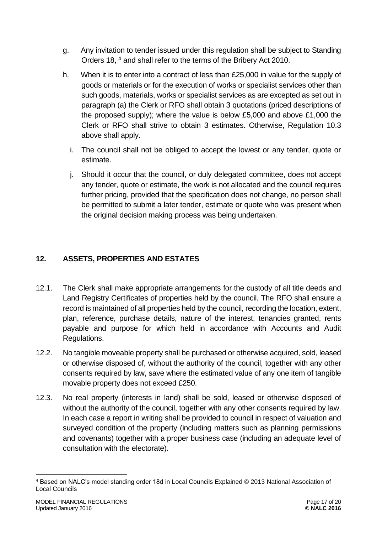- g. Any invitation to tender issued under this regulation shall be subject to Standing Orders 18, <sup>4</sup> and shall refer to the terms of the Bribery Act 2010.
- h. When it is to enter into a contract of less than £25,000 in value for the supply of goods or materials or for the execution of works or specialist services other than such goods, materials, works or specialist services as are excepted as set out in paragraph (a) the Clerk or RFO shall obtain 3 quotations (priced descriptions of the proposed supply); where the value is below £5,000 and above £1,000 the Clerk or RFO shall strive to obtain 3 estimates. Otherwise, Regulation 10.3 above shall apply.
	- i. The council shall not be obliged to accept the lowest or any tender, quote or estimate.
	- j. Should it occur that the council, or duly delegated committee, does not accept any tender, quote or estimate, the work is not allocated and the council requires further pricing, provided that the specification does not change, no person shall be permitted to submit a later tender, estimate or quote who was present when the original decision making process was being undertaken.

## <span id="page-16-0"></span>**12. ASSETS, PROPERTIES AND ESTATES**

- 12.1. The Clerk shall make appropriate arrangements for the custody of all title deeds and Land Registry Certificates of properties held by the council. The RFO shall ensure a record is maintained of all properties held by the council, recording the location, extent, plan, reference, purchase details, nature of the interest, tenancies granted, rents payable and purpose for which held in accordance with Accounts and Audit Regulations.
- 12.2. No tangible moveable property shall be purchased or otherwise acquired, sold, leased or otherwise disposed of, without the authority of the council, together with any other consents required by law, save where the estimated value of any one item of tangible movable property does not exceed £250.
- 12.3. No real property (interests in land) shall be sold, leased or otherwise disposed of without the authority of the council, together with any other consents required by law. In each case a report in writing shall be provided to council in respect of valuation and surveyed condition of the property (including matters such as planning permissions and covenants) together with a proper business case (including an adequate level of consultation with the electorate).

<sup>4</sup> Based on NALC's model standing order 18d in Local Councils Explained © 2013 National Association of Local Councils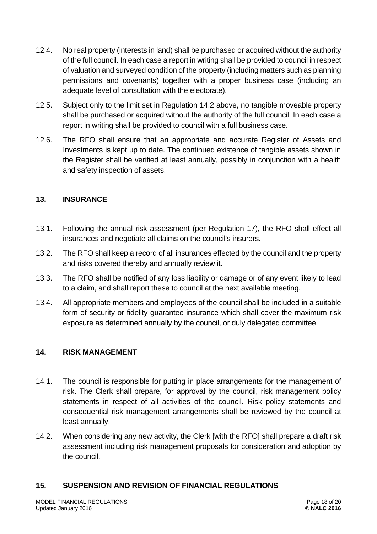- 12.4. No real property (interests in land) shall be purchased or acquired without the authority of the full council. In each case a report in writing shall be provided to council in respect of valuation and surveyed condition of the property (including matters such as planning permissions and covenants) together with a proper business case (including an adequate level of consultation with the electorate).
- 12.5. Subject only to the limit set in Regulation 14.2 above, no tangible moveable property shall be purchased or acquired without the authority of the full council. In each case a report in writing shall be provided to council with a full business case.
- 12.6. The RFO shall ensure that an appropriate and accurate Register of Assets and Investments is kept up to date. The continued existence of tangible assets shown in the Register shall be verified at least annually, possibly in conjunction with a health and safety inspection of assets.

#### <span id="page-17-0"></span>**13. INSURANCE**

- 13.1. Following the annual risk assessment (per Regulation 17), the RFO shall effect all insurances and negotiate all claims on the council's insurers.
- 13.2. The RFO shall keep a record of all insurances effected by the council and the property and risks covered thereby and annually review it.
- 13.3. The RFO shall be notified of any loss liability or damage or of any event likely to lead to a claim, and shall report these to council at the next available meeting.
- 13.4. All appropriate members and employees of the council shall be included in a suitable form of security or fidelity guarantee insurance which shall cover the maximum risk exposure as determined annually by the council, or duly delegated committee.

#### <span id="page-17-1"></span>**14. RISK MANAGEMENT**

- 14.1. The council is responsible for putting in place arrangements for the management of risk. The Clerk shall prepare, for approval by the council, risk management policy statements in respect of all activities of the council. Risk policy statements and consequential risk management arrangements shall be reviewed by the council at least annually.
- 14.2. When considering any new activity, the Clerk [with the RFO] shall prepare a draft risk assessment including risk management proposals for consideration and adoption by the council.

#### <span id="page-17-2"></span>**15. SUSPENSION AND REVISION OF FINANCIAL REGULATIONS**